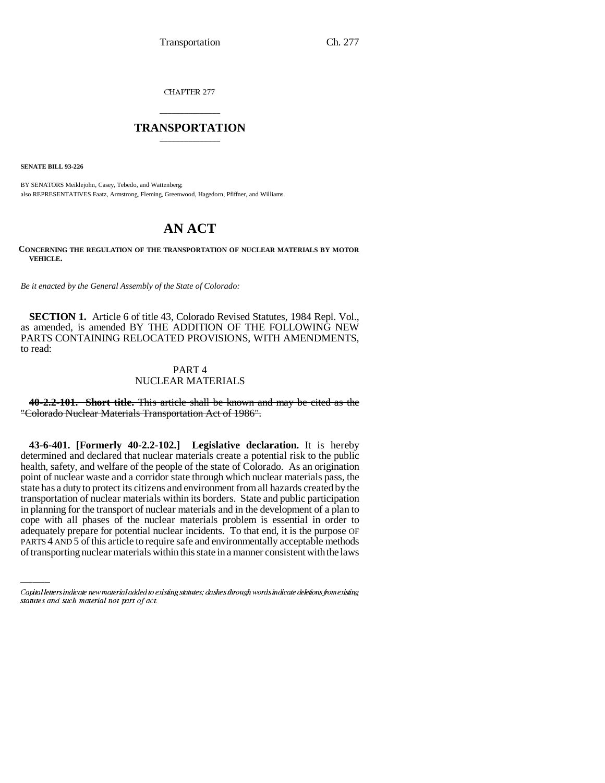CHAPTER 277

## \_\_\_\_\_\_\_\_\_\_\_\_\_\_\_ **TRANSPORTATION** \_\_\_\_\_\_\_\_\_\_\_\_\_\_\_

**SENATE BILL 93-226**

BY SENATORS Meiklejohn, Casey, Tebedo, and Wattenberg; also REPRESENTATIVES Faatz, Armstrong, Fleming, Greenwood, Hagedorn, Pfiffner, and Williams.

# **AN ACT**

**CONCERNING THE REGULATION OF THE TRANSPORTATION OF NUCLEAR MATERIALS BY MOTOR VEHICLE.**

*Be it enacted by the General Assembly of the State of Colorado:*

**SECTION 1.** Article 6 of title 43, Colorado Revised Statutes, 1984 Repl. Vol., as amended, is amended BY THE ADDITION OF THE FOLLOWING NEW PARTS CONTAINING RELOCATED PROVISIONS, WITH AMENDMENTS, to read:

## PART 4 NUCLEAR MATERIALS

**40-2.2-101. Short title.** This article shall be known and may be cited as the "Colorado Nuclear Materials Transportation Act of 1986".

in planning for the transport of nuclear materials and in the development of a plan to **43-6-401. [Formerly 40-2.2-102.] Legislative declaration.** It is hereby determined and declared that nuclear materials create a potential risk to the public health, safety, and welfare of the people of the state of Colorado. As an origination point of nuclear waste and a corridor state through which nuclear materials pass, the state has a duty to protect its citizens and environment from all hazards created by the transportation of nuclear materials within its borders. State and public participation cope with all phases of the nuclear materials problem is essential in order to adequately prepare for potential nuclear incidents. To that end, it is the purpose OF PARTS 4 AND 5 of this article to require safe and environmentally acceptable methods of transporting nuclear materials within this state in a manner consistent with the laws

Capital letters indicate new material added to existing statutes; dashes through words indicate deletions from existing statutes and such material not part of act.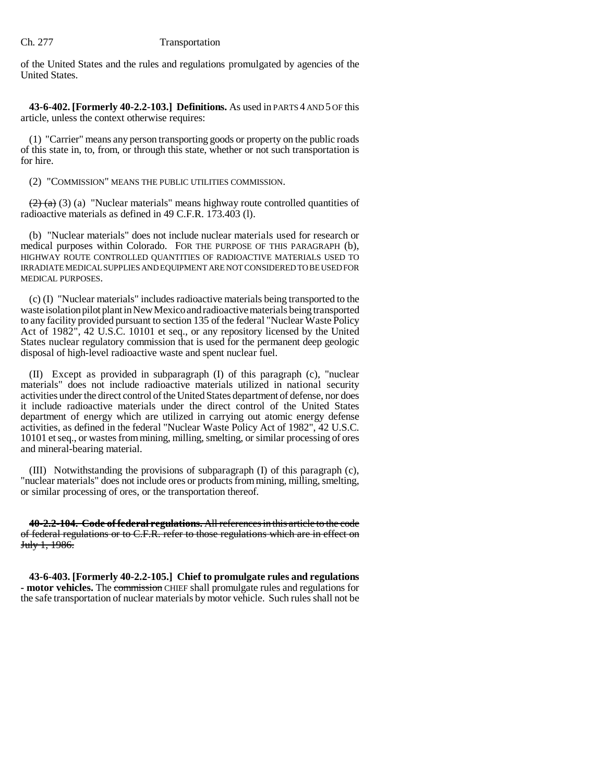of the United States and the rules and regulations promulgated by agencies of the United States.

**43-6-402. [Formerly 40-2.2-103.] Definitions.** As used in PARTS 4 AND 5 OF this article, unless the context otherwise requires:

(1) "Carrier" means any person transporting goods or property on the public roads of this state in, to, from, or through this state, whether or not such transportation is for hire.

(2) "COMMISSION" MEANS THE PUBLIC UTILITIES COMMISSION.

 $(2)$  (a) (3) (a) "Nuclear materials" means highway route controlled quantities of radioactive materials as defined in 49 C.F.R. 173.403 (l).

(b) "Nuclear materials" does not include nuclear materials used for research or medical purposes within Colorado. FOR THE PURPOSE OF THIS PARAGRAPH (b), HIGHWAY ROUTE CONTROLLED QUANTITIES OF RADIOACTIVE MATERIALS USED TO IRRADIATE MEDICAL SUPPLIES AND EQUIPMENT ARE NOT CONSIDERED TO BE USED FOR MEDICAL PURPOSES.

(c) (I) "Nuclear materials" includes radioactive materials being transported to the waste isolation pilot plant in New Mexico and radioactive materials being transported to any facility provided pursuant to section 135 of the federal "Nuclear Waste Policy Act of 1982", 42 U.S.C. 10101 et seq., or any repository licensed by the United States nuclear regulatory commission that is used for the permanent deep geologic disposal of high-level radioactive waste and spent nuclear fuel.

(II) Except as provided in subparagraph (I) of this paragraph (c), "nuclear materials" does not include radioactive materials utilized in national security activities under the direct control of the United States department of defense, nor does it include radioactive materials under the direct control of the United States department of energy which are utilized in carrying out atomic energy defense activities, as defined in the federal "Nuclear Waste Policy Act of 1982", 42 U.S.C. 10101 et seq., or wastes from mining, milling, smelting, or similar processing of ores and mineral-bearing material.

(III) Notwithstanding the provisions of subparagraph (I) of this paragraph (c), "nuclear materials" does not include ores or products from mining, milling, smelting, or similar processing of ores, or the transportation thereof.

**40-2.2-104. Code of federal regulations.** All references in this article to the code of federal regulations or to C.F.R. refer to those regulations which are in effect on July 1, 1986.

**43-6-403. [Formerly 40-2.2-105.] Chief to promulgate rules and regulations - motor vehicles.** The commission CHIEF shall promulgate rules and regulations for the safe transportation of nuclear materials by motor vehicle. Such rules shall not be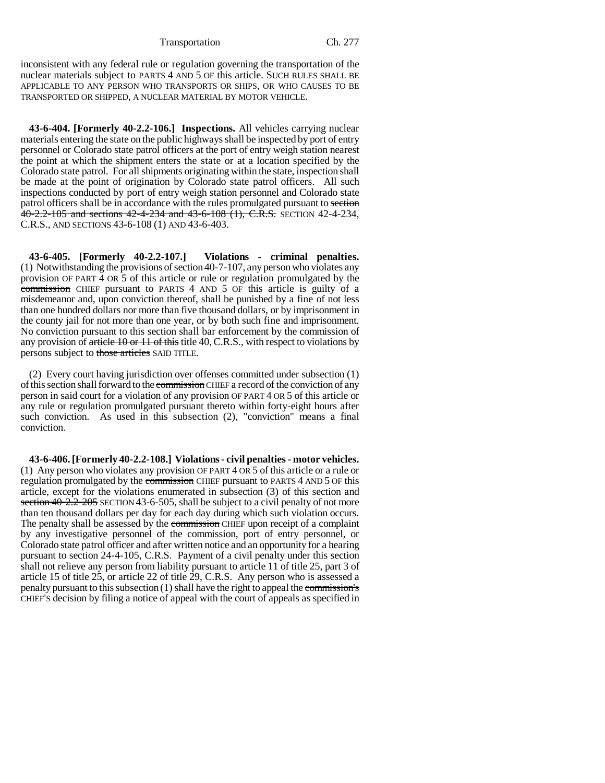inconsistent with any federal rule or regulation governing the transportation of the nuclear materials subject to PARTS 4 AND 5 OF this article. SUCH RULES SHALL BE APPLICABLE TO ANY PERSON WHO TRANSPORTS OR SHIPS, OR WHO CAUSES TO BE TRANSPORTED OR SHIPPED, A NUCLEAR MATERIAL BY MOTOR VEHICLE.

**43-6-404. [Formerly 40-2.2-106.] Inspections.** All vehicles carrying nuclear materials entering the state on the public highways shall be inspected by port of entry personnel or Colorado state patrol officers at the port of entry weigh station nearest the point at which the shipment enters the state or at a location specified by the Colorado state patrol. For all shipments originating within the state, inspection shall be made at the point of origination by Colorado state patrol officers. All such inspections conducted by port of entry weigh station personnel and Colorado state patrol officers shall be in accordance with the rules promulgated pursuant to section 40-2.2-105 and sections 42-4-234 and 43-6-108 (1), C.R.S. SECTION 42-4-234, C.R.S., AND SECTIONS 43-6-108 (1) AND 43-6-403.

**43-6-405. [Formerly 40-2.2-107.] Violations - criminal penalties.** (1) Notwithstanding the provisions of section 40-7-107, any person who violates any provision OF PART 4 OR 5 of this article or rule or regulation promulgated by the commission CHIEF pursuant to PARTS 4 AND 5 OF this article is guilty of a misdemeanor and, upon conviction thereof, shall be punished by a fine of not less than one hundred dollars nor more than five thousand dollars, or by imprisonment in the county jail for not more than one year, or by both such fine and imprisonment. No conviction pursuant to this section shall bar enforcement by the commission of any provision of  $article 10$  or  $11$  of this title 40, C.R.S., with respect to violations by persons subject to those articles SAID TITLE.

(2) Every court having jurisdiction over offenses committed under subsection (1) of this section shall forward to the commission CHIEF a record of the conviction of any person in said court for a violation of any provision OF PART 4 OR 5 of this article or any rule or regulation promulgated pursuant thereto within forty-eight hours after such conviction. As used in this subsection (2), "conviction" means a final conviction.

**43-6-406. [Formerly 40-2.2-108.] Violations - civil penalties - motor vehicles.** (1) Any person who violates any provision OF PART 4 OR 5 of this article or a rule or regulation promulgated by the commission CHIEF pursuant to PARTS 4 AND 5 OF this article, except for the violations enumerated in subsection (3) of this section and section 40-2.2-205 SECTION 43-6-505, shall be subject to a civil penalty of not more than ten thousand dollars per day for each day during which such violation occurs. The penalty shall be assessed by the commission CHIEF upon receipt of a complaint by any investigative personnel of the commission, port of entry personnel, or Colorado state patrol officer and after written notice and an opportunity for a hearing pursuant to section 24-4-105, C.R.S. Payment of a civil penalty under this section shall not relieve any person from liability pursuant to article 11 of title 25, part 3 of article 15 of title 25, or article 22 of title 29, C.R.S. Any person who is assessed a penalty pursuant to this subsection  $(1)$  shall have the right to appeal the commission's CHIEF'S decision by filing a notice of appeal with the court of appeals as specified in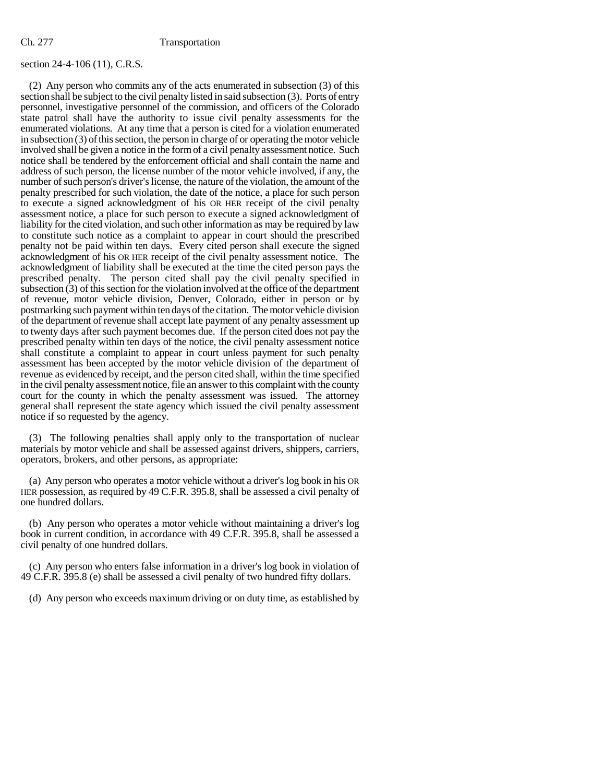## section 24-4-106 (11), C.R.S.

(2) Any person who commits any of the acts enumerated in subsection (3) of this section shall be subject to the civil penalty listed in said subsection (3). Ports of entry personnel, investigative personnel of the commission, and officers of the Colorado state patrol shall have the authority to issue civil penalty assessments for the enumerated violations. At any time that a person is cited for a violation enumerated in subsection (3) of this section, the person in charge of or operating the motor vehicle involved shall be given a notice in the form of a civil penalty assessment notice. Such notice shall be tendered by the enforcement official and shall contain the name and address of such person, the license number of the motor vehicle involved, if any, the number of such person's driver's license, the nature of the violation, the amount of the penalty prescribed for such violation, the date of the notice, a place for such person to execute a signed acknowledgment of his OR HER receipt of the civil penalty assessment notice, a place for such person to execute a signed acknowledgment of liability for the cited violation, and such other information as may be required by law to constitute such notice as a complaint to appear in court should the prescribed penalty not be paid within ten days. Every cited person shall execute the signed acknowledgment of his OR HER receipt of the civil penalty assessment notice. The acknowledgment of liability shall be executed at the time the cited person pays the prescribed penalty. The person cited shall pay the civil penalty specified in subsection  $(3)$  of this section for the violation involved at the office of the department of revenue, motor vehicle division, Denver, Colorado, either in person or by postmarking such payment within ten days of the citation. The motor vehicle division of the department of revenue shall accept late payment of any penalty assessment up to twenty days after such payment becomes due. If the person cited does not pay the prescribed penalty within ten days of the notice, the civil penalty assessment notice shall constitute a complaint to appear in court unless payment for such penalty assessment has been accepted by the motor vehicle division of the department of revenue as evidenced by receipt, and the person cited shall, within the time specified in the civil penalty assessment notice, file an answer to this complaint with the county court for the county in which the penalty assessment was issued. The attorney general shall represent the state agency which issued the civil penalty assessment notice if so requested by the agency.

(3) The following penalties shall apply only to the transportation of nuclear materials by motor vehicle and shall be assessed against drivers, shippers, carriers, operators, brokers, and other persons, as appropriate:

(a) Any person who operates a motor vehicle without a driver's log book in his OR HER possession, as required by 49 C.F.R. 395.8, shall be assessed a civil penalty of one hundred dollars.

(b) Any person who operates a motor vehicle without maintaining a driver's log book in current condition, in accordance with 49 C.F.R. 395.8, shall be assessed a civil penalty of one hundred dollars.

(c) Any person who enters false information in a driver's log book in violation of 49 C.F.R. 395.8 (e) shall be assessed a civil penalty of two hundred fifty dollars.

(d) Any person who exceeds maximum driving or on duty time, as established by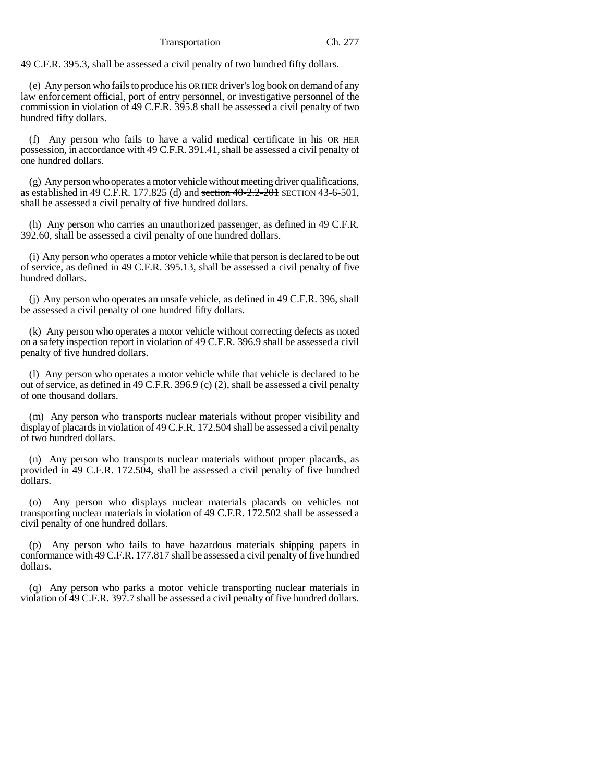49 C.F.R. 395.3, shall be assessed a civil penalty of two hundred fifty dollars.

(e) Any person who fails to produce his OR HER driver's log book on demand of any law enforcement official, port of entry personnel, or investigative personnel of the commission in violation of 49 C.F.R. 395.8 shall be assessed a civil penalty of two hundred fifty dollars.

(f) Any person who fails to have a valid medical certificate in his OR HER possession, in accordance with 49 C.F.R. 391.41, shall be assessed a civil penalty of one hundred dollars.

(g) Any person who operates a motor vehicle without meeting driver qualifications, as established in 49 C.F.R. 177.825 (d) and section  $40-2.2-201$  SECTION 43-6-501, shall be assessed a civil penalty of five hundred dollars.

(h) Any person who carries an unauthorized passenger, as defined in 49 C.F.R. 392.60, shall be assessed a civil penalty of one hundred dollars.

(i) Any person who operates a motor vehicle while that person is declared to be out of service, as defined in 49 C.F.R. 395.13, shall be assessed a civil penalty of five hundred dollars.

(j) Any person who operates an unsafe vehicle, as defined in 49 C.F.R. 396, shall be assessed a civil penalty of one hundred fifty dollars.

(k) Any person who operates a motor vehicle without correcting defects as noted on a safety inspection report in violation of 49 C.F.R. 396.9 shall be assessed a civil penalty of five hundred dollars.

(l) Any person who operates a motor vehicle while that vehicle is declared to be out of service, as defined in 49 C.F.R. 396.9 (c) (2), shall be assessed a civil penalty of one thousand dollars.

(m) Any person who transports nuclear materials without proper visibility and display of placards in violation of 49 C.F.R. 172.504 shall be assessed a civil penalty of two hundred dollars.

(n) Any person who transports nuclear materials without proper placards, as provided in 49 C.F.R. 172.504, shall be assessed a civil penalty of five hundred dollars.

(o) Any person who displays nuclear materials placards on vehicles not transporting nuclear materials in violation of 49 C.F.R. 172.502 shall be assessed a civil penalty of one hundred dollars.

(p) Any person who fails to have hazardous materials shipping papers in conformance with 49 C.F.R. 177.817 shall be assessed a civil penalty of five hundred dollars.

(q) Any person who parks a motor vehicle transporting nuclear materials in violation of 49 C.F.R. 397.7 shall be assessed a civil penalty of five hundred dollars.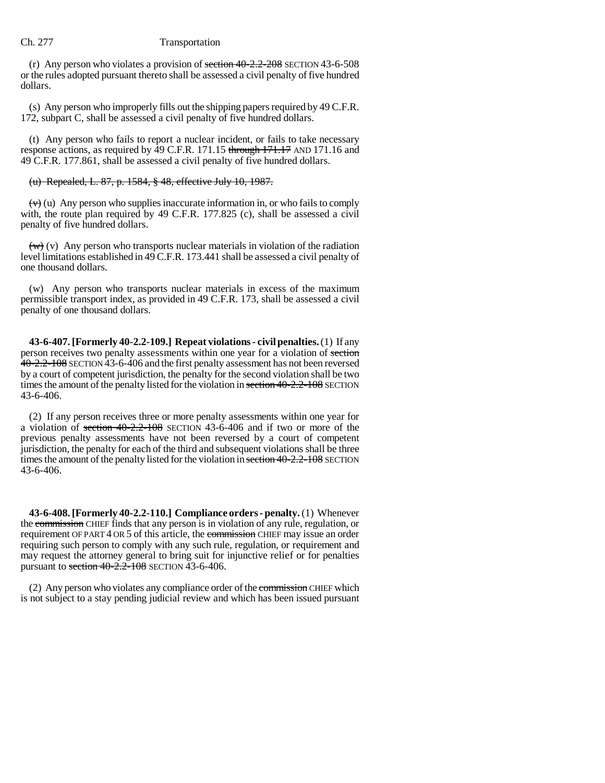(r) Any person who violates a provision of section 40-2.2-208 SECTION 43-6-508 or the rules adopted pursuant thereto shall be assessed a civil penalty of five hundred dollars.

(s) Any person who improperly fills out the shipping papers required by 49 C.F.R. 172, subpart C, shall be assessed a civil penalty of five hundred dollars.

(t) Any person who fails to report a nuclear incident, or fails to take necessary response actions, as required by  $\overline{49}$  C.F.R. 171.15 through 171.17 AND 171.16 and 49 C.F.R. 177.861, shall be assessed a civil penalty of five hundred dollars.

## (u) Repealed, L. 87, p. 1584, § 48, effective July 10, 1987.

 $(v)$  (u) Any person who supplies inaccurate information in, or who fails to comply with, the route plan required by 49 C.F.R. 177.825 (c), shall be assessed a civil penalty of five hundred dollars.

 $(w)$  (v) Any person who transports nuclear materials in violation of the radiation level limitations established in 49 C.F.R. 173.441 shall be assessed a civil penalty of one thousand dollars.

(w) Any person who transports nuclear materials in excess of the maximum permissible transport index, as provided in 49 C.F.R. 173, shall be assessed a civil penalty of one thousand dollars.

**43-6-407. [Formerly 40-2.2-109.] Repeat violations - civil penalties.** (1) If any person receives two penalty assessments within one year for a violation of section 40-2.2-108 SECTION 43-6-406 and the first penalty assessment has not been reversed by a court of competent jurisdiction, the penalty for the second violation shall be two times the amount of the penalty listed for the violation in section 40-2.2-108 SECTION 43-6-406.

(2) If any person receives three or more penalty assessments within one year for a violation of section 40-2.2-108 SECTION 43-6-406 and if two or more of the previous penalty assessments have not been reversed by a court of competent jurisdiction, the penalty for each of the third and subsequent violations shall be three times the amount of the penalty listed for the violation in section 40-2.2-108 SECTION 43-6-406.

**43-6-408. [Formerly 40-2.2-110.] Compliance orders - penalty.** (1) Whenever the commission CHIEF finds that any person is in violation of any rule, regulation, or requirement OF PART 4 OR 5 of this article, the commission CHIEF may issue an order requiring such person to comply with any such rule, regulation, or requirement and may request the attorney general to bring suit for injunctive relief or for penalties pursuant to section  $40-2.2-108$  SECTION 43-6-406.

(2) Any person who violates any compliance order of the commission CHIEF which is not subject to a stay pending judicial review and which has been issued pursuant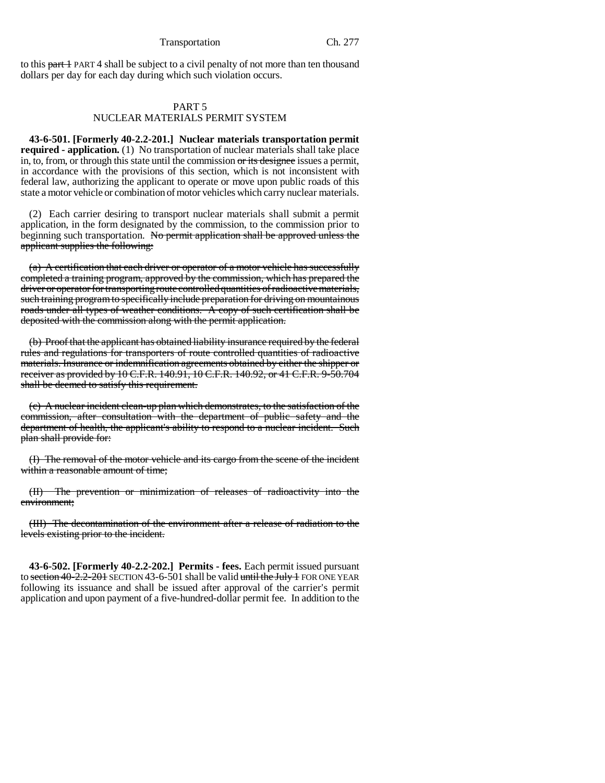#### Transportation Ch. 277

to this part 1 PART 4 shall be subject to a civil penalty of not more than ten thousand dollars per day for each day during which such violation occurs.

## PART 5

## NUCLEAR MATERIALS PERMIT SYSTEM

**43-6-501. [Formerly 40-2.2-201.] Nuclear materials transportation permit required - application.** (1) No transportation of nuclear materials shall take place in, to, from, or through this state until the commission or its designee issues a permit, in accordance with the provisions of this section, which is not inconsistent with federal law, authorizing the applicant to operate or move upon public roads of this state a motor vehicle or combination of motor vehicles which carry nuclear materials.

(2) Each carrier desiring to transport nuclear materials shall submit a permit application, in the form designated by the commission, to the commission prior to beginning such transportation. No permit application shall be approved unless the applicant supplies the following:

(a) A certification that each driver or operator of a motor vehicle has successfully completed a training program, approved by the commission, which has prepared the driver or operator for transporting route controlled quantities of radioactive materials, such training program to specifically include preparation for driving on mountainous roads under all types of weather conditions. A copy of such certification shall be deposited with the commission along with the permit application.

(b) Proof that the applicant has obtained liability insurance required by the federal rules and regulations for transporters of route controlled quantities of radioactive materials. Insurance or indemnification agreements obtained by either the shipper or receiver as provided by 10 C.F.R. 140.91, 10 C.F.R. 140.92, or 41 C.F.R. 9-50.704 shall be deemed to satisfy this requirement.

(c) A nuclear incident clean-up plan which demonstrates, to the satisfaction of the commission, after consultation with the department of public safety and the department of health, the applicant's ability to respond to a nuclear incident. Such plan shall provide for:

(I) The removal of the motor vehicle and its cargo from the scene of the incident within a reasonable amount of time;

(II) The prevention or minimization of releases of radioactivity into the environment;

(III) The decontamination of the environment after a release of radiation to the levels existing prior to the incident.

**43-6-502. [Formerly 40-2.2-202.] Permits - fees.** Each permit issued pursuant to section  $40-2.2-201$  SECTION 43-6-501 shall be valid until the July 1 FOR ONE YEAR following its issuance and shall be issued after approval of the carrier's permit application and upon payment of a five-hundred-dollar permit fee. In addition to the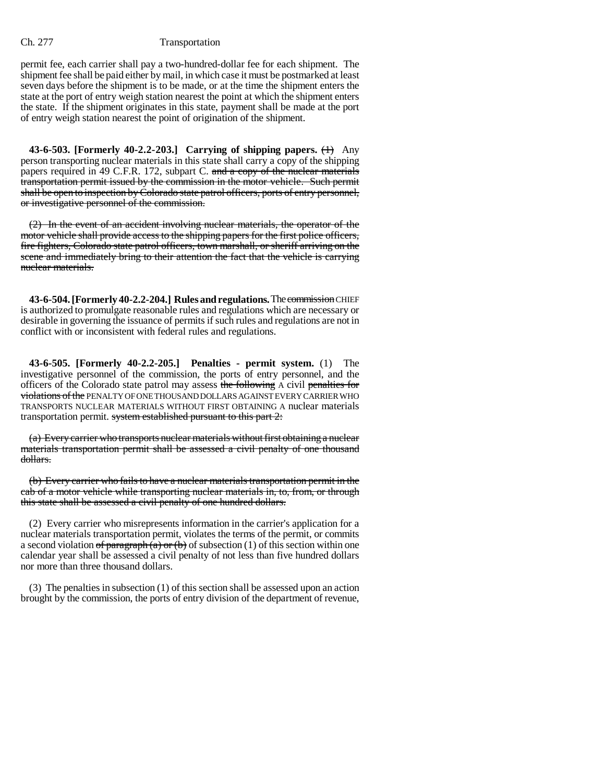permit fee, each carrier shall pay a two-hundred-dollar fee for each shipment. The shipment fee shall be paid either by mail, in which case it must be postmarked at least seven days before the shipment is to be made, or at the time the shipment enters the state at the port of entry weigh station nearest the point at which the shipment enters the state. If the shipment originates in this state, payment shall be made at the port of entry weigh station nearest the point of origination of the shipment.

**43-6-503. [Formerly 40-2.2-203.] Carrying of shipping papers.** (1) Any person transporting nuclear materials in this state shall carry a copy of the shipping papers required in 49 C.F.R. 172, subpart C. and a copy of the nuclear materials transportation permit issued by the commission in the motor vehicle. Such permit shall be open to inspection by Colorado state patrol officers, ports of entry personnel, or investigative personnel of the commission.

(2) In the event of an accident involving nuclear materials, the operator of the motor vehicle shall provide access to the shipping papers for the first police officers, fire fighters, Colorado state patrol officers, town marshall, or sheriff arriving on the scene and immediately bring to their attention the fact that the vehicle is carrying nuclear materials.

**43-6-504. [Formerly 40-2.2-204.] Rules and regulations.** The commissionCHIEF is authorized to promulgate reasonable rules and regulations which are necessary or desirable in governing the issuance of permits if such rules and regulations are not in conflict with or inconsistent with federal rules and regulations.

**43-6-505. [Formerly 40-2.2-205.] Penalties - permit system.** (1) The investigative personnel of the commission, the ports of entry personnel, and the officers of the Colorado state patrol may assess the following A civil penalties for violations of the PENALTY OF ONE THOUSAND DOLLARS AGAINST EVERY CARRIER WHO TRANSPORTS NUCLEAR MATERIALS WITHOUT FIRST OBTAINING A nuclear materials transportation permit. system established pursuant to this part 2:

(a) Every carrier who transports nuclear materials without first obtaining a nuclear materials transportation permit shall be assessed a civil penalty of one thousand dollars.

(b) Every carrier who fails to have a nuclear materials transportation permit in the cab of a motor vehicle while transporting nuclear materials in, to, from, or through this state shall be assessed a civil penalty of one hundred dollars.

(2) Every carrier who misrepresents information in the carrier's application for a nuclear materials transportation permit, violates the terms of the permit, or commits a second violation of paragraph (a) or (b) of subsection (1) of this section within one calendar year shall be assessed a civil penalty of not less than five hundred dollars nor more than three thousand dollars.

(3) The penalties in subsection (1) of this section shall be assessed upon an action brought by the commission, the ports of entry division of the department of revenue,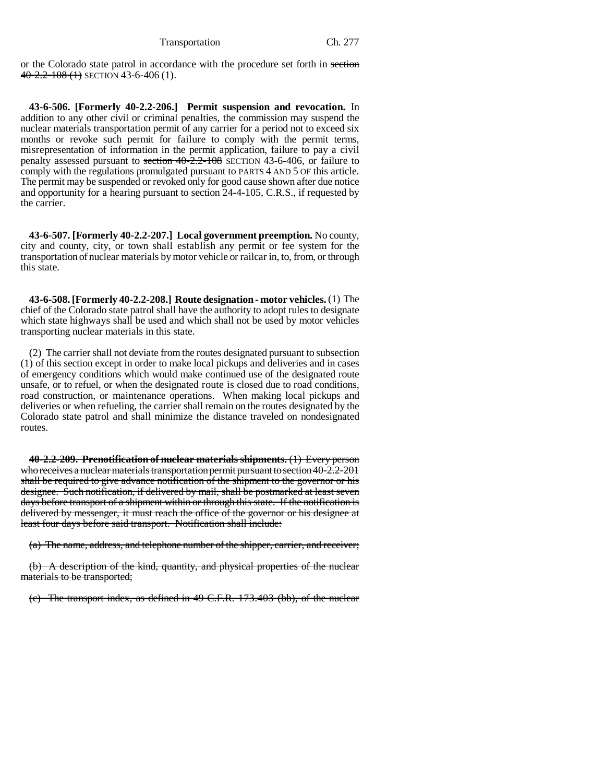or the Colorado state patrol in accordance with the procedure set forth in section  $40-2.2-108$  (1) SECTION 43-6-406 (1).

**43-6-506. [Formerly 40-2.2-206.] Permit suspension and revocation.** In addition to any other civil or criminal penalties, the commission may suspend the nuclear materials transportation permit of any carrier for a period not to exceed six months or revoke such permit for failure to comply with the permit terms, misrepresentation of information in the permit application, failure to pay a civil penalty assessed pursuant to section 40-2.2-108 SECTION 43-6-406, or failure to comply with the regulations promulgated pursuant to PARTS 4 AND 5 OF this article. The permit may be suspended or revoked only for good cause shown after due notice and opportunity for a hearing pursuant to section 24-4-105, C.R.S., if requested by the carrier.

**43-6-507. [Formerly 40-2.2-207.] Local government preemption.** No county, city and county, city, or town shall establish any permit or fee system for the transportation of nuclear materials by motor vehicle or railcar in, to, from, or through this state.

**43-6-508. [Formerly 40-2.2-208.] Route designation - motor vehicles.** (1) The chief of the Colorado state patrol shall have the authority to adopt rules to designate which state highways shall be used and which shall not be used by motor vehicles transporting nuclear materials in this state.

(2) The carrier shall not deviate from the routes designated pursuant to subsection (1) of this section except in order to make local pickups and deliveries and in cases of emergency conditions which would make continued use of the designated route unsafe, or to refuel, or when the designated route is closed due to road conditions, road construction, or maintenance operations. When making local pickups and deliveries or when refueling, the carrier shall remain on the routes designated by the Colorado state patrol and shall minimize the distance traveled on nondesignated routes.

**40-2.2-209. Prenotification of nuclear materials shipments.** (1) Every person who receives a nuclear materials transportation permit pursuant to section 40-2.2-201 shall be required to give advance notification of the shipment to the governor or his designee. Such notification, if delivered by mail, shall be postmarked at least seven days before transport of a shipment within or through this state. If the notification is delivered by messenger, it must reach the office of the governor or his designee at least four days before said transport. Notification shall include:

(a) The name, address, and telephone number of the shipper, carrier, and receiver;

(b) A description of the kind, quantity, and physical properties of the nuclear materials to be transported;

(c) The transport index, as defined in 49 C.F.R. 173.403 (bb), of the nuclear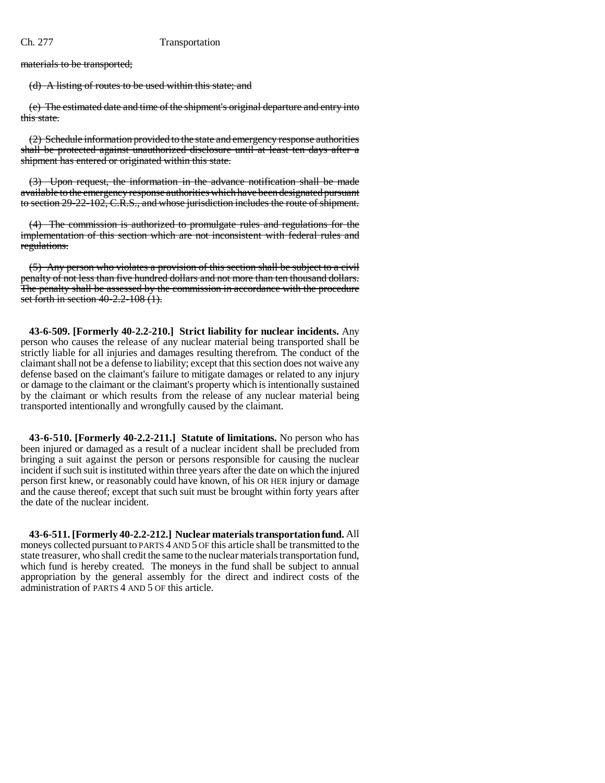materials to be transported;

(d) A listing of routes to be used within this state; and

(e) The estimated date and time of the shipment's original departure and entry into this state.

(2) Schedule information provided to the state and emergency response authorities shall be protected against unauthorized disclosure until at least ten days after a shipment has entered or originated within this state.

(3) Upon request, the information in the advance notification shall be made available to the emergency response authorities which have been designated pursuant to section 29-22-102, C.R.S., and whose jurisdiction includes the route of shipment.

(4) The commission is authorized to promulgate rules and regulations for the implementation of this section which are not inconsistent with federal rules and regulations.

(5) Any person who violates a provision of this section shall be subject to a civil penalty of not less than five hundred dollars and not more than ten thousand dollars. The penalty shall be assessed by the commission in accordance with the procedure set forth in section 40-2.2-108 (1).

**43-6-509. [Formerly 40-2.2-210.] Strict liability for nuclear incidents.** Any person who causes the release of any nuclear material being transported shall be strictly liable for all injuries and damages resulting therefrom. The conduct of the claimant shall not be a defense to liability; except that this section does not waive any defense based on the claimant's failure to mitigate damages or related to any injury or damage to the claimant or the claimant's property which is intentionally sustained by the claimant or which results from the release of any nuclear material being transported intentionally and wrongfully caused by the claimant.

**43-6-510. [Formerly 40-2.2-211.] Statute of limitations.** No person who has been injured or damaged as a result of a nuclear incident shall be precluded from bringing a suit against the person or persons responsible for causing the nuclear incident if such suit is instituted within three years after the date on which the injured person first knew, or reasonably could have known, of his OR HER injury or damage and the cause thereof; except that such suit must be brought within forty years after the date of the nuclear incident.

**43-6-511. [Formerly 40-2.2-212.] Nuclear materials transportation fund.** All moneys collected pursuant to PARTS 4 AND 5 OF this article shall be transmitted to the state treasurer, who shall credit the same to the nuclear materials transportation fund, which fund is hereby created. The moneys in the fund shall be subject to annual appropriation by the general assembly for the direct and indirect costs of the administration of PARTS 4 AND 5 OF this article.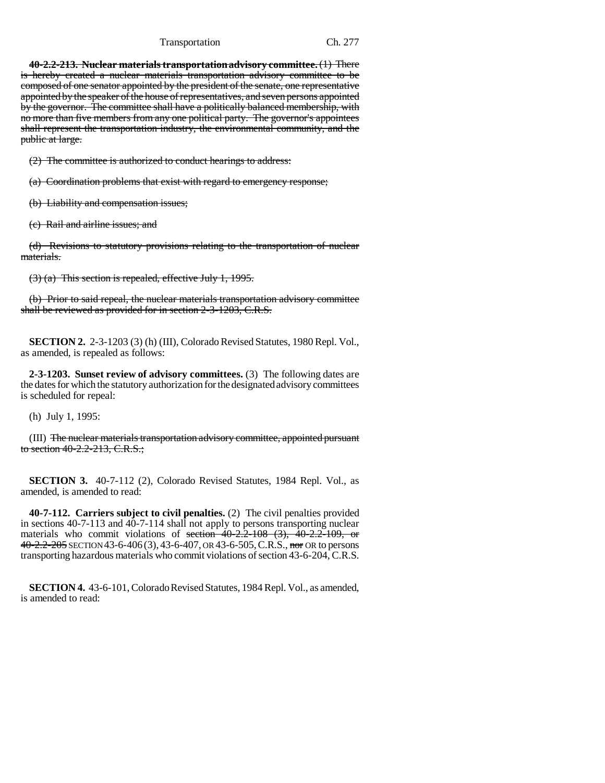### Transportation Ch. 277

**40-2.2-213. Nuclear materials transportation advisory committee.** (1) There is hereby created a nuclear materials transportation advisory committee to be composed of one senator appointed by the president of the senate, one representative appointed by the speaker of the house of representatives, and seven persons appointed by the governor. The committee shall have a politically balanced membership, with no more than five members from any one political party. The governor's appointees shall represent the transportation industry, the environmental community, and the public at large.

(2) The committee is authorized to conduct hearings to address:

(a) Coordination problems that exist with regard to emergency response;

(b) Liability and compensation issues;

(c) Rail and airline issues; and

(d) Revisions to statutory provisions relating to the transportation of nuclear materials.

(3) (a) This section is repealed, effective July 1, 1995.

(b) Prior to said repeal, the nuclear materials transportation advisory committee shall be reviewed as provided for in section 2-3-1203, C.R.S.

**SECTION 2.** 2-3-1203 (3) (h) (III), Colorado Revised Statutes, 1980 Repl. Vol., as amended, is repealed as follows:

**2-3-1203. Sunset review of advisory committees.** (3) The following dates are the dates for which the statutory authorization for the designated advisory committees is scheduled for repeal:

(h) July 1, 1995:

(III) The nuclear materials transportation advisory committee, appointed pursuant to section 40-2.2-213, C.R.S.;

**SECTION 3.** 40-7-112 (2), Colorado Revised Statutes, 1984 Repl. Vol., as amended, is amended to read:

**40-7-112. Carriers subject to civil penalties.** (2) The civil penalties provided in sections 40-7-113 and 40-7-114 shall not apply to persons transporting nuclear materials who commit violations of section  $40-2.2-108$  (3),  $40-2.2-109$ , or 40-2.2-205 SECTION 43-6-406 (3), 43-6-407, OR 43-6-505, C.R.S., nor OR to persons transporting hazardous materials who commit violations of section 43-6-204, C.R.S.

**SECTION 4.** 43-6-101, Colorado Revised Statutes, 1984 Repl. Vol., as amended, is amended to read: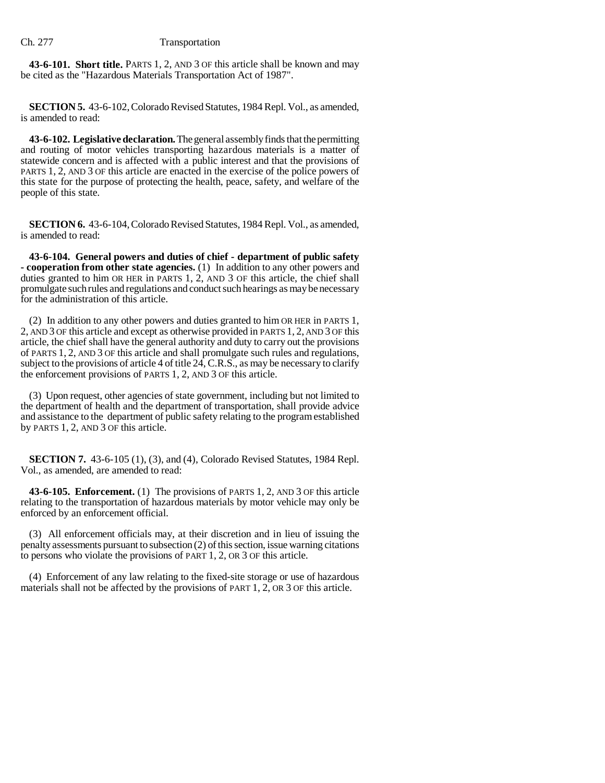**43-6-101. Short title.** PARTS 1, 2, AND 3 OF this article shall be known and may be cited as the "Hazardous Materials Transportation Act of 1987".

**SECTION 5.** 43-6-102, Colorado Revised Statutes, 1984 Repl. Vol., as amended, is amended to read:

**43-6-102. Legislative declaration.** The general assembly finds that the permitting and routing of motor vehicles transporting hazardous materials is a matter of statewide concern and is affected with a public interest and that the provisions of PARTS 1, 2, AND 3 OF this article are enacted in the exercise of the police powers of this state for the purpose of protecting the health, peace, safety, and welfare of the people of this state.

**SECTION 6.** 43-6-104, Colorado Revised Statutes, 1984 Repl. Vol., as amended, is amended to read:

**43-6-104. General powers and duties of chief - department of public safety - cooperation from other state agencies.** (1) In addition to any other powers and duties granted to him OR HER in PARTS 1, 2, AND 3 OF this article, the chief shall promulgate such rules and regulations and conduct such hearings as may be necessary for the administration of this article.

(2) In addition to any other powers and duties granted to him OR HER in PARTS 1, 2, AND 3 OF this article and except as otherwise provided in PARTS 1, 2, AND 3 OF this article, the chief shall have the general authority and duty to carry out the provisions of PARTS 1, 2, AND 3 OF this article and shall promulgate such rules and regulations, subject to the provisions of article 4 of title 24, C.R.S., as may be necessary to clarify the enforcement provisions of PARTS 1, 2, AND 3 OF this article.

(3) Upon request, other agencies of state government, including but not limited to the department of health and the department of transportation, shall provide advice and assistance to the department of public safety relating to the program established by PARTS 1, 2, AND 3 OF this article.

**SECTION 7.** 43-6-105 (1), (3), and (4), Colorado Revised Statutes, 1984 Repl. Vol., as amended, are amended to read:

**43-6-105. Enforcement.** (1) The provisions of PARTS 1, 2, AND 3 OF this article relating to the transportation of hazardous materials by motor vehicle may only be enforced by an enforcement official.

(3) All enforcement officials may, at their discretion and in lieu of issuing the penalty assessments pursuant to subsection (2) of this section, issue warning citations to persons who violate the provisions of PART 1, 2, OR 3 OF this article.

(4) Enforcement of any law relating to the fixed-site storage or use of hazardous materials shall not be affected by the provisions of PART 1, 2, OR 3 OF this article.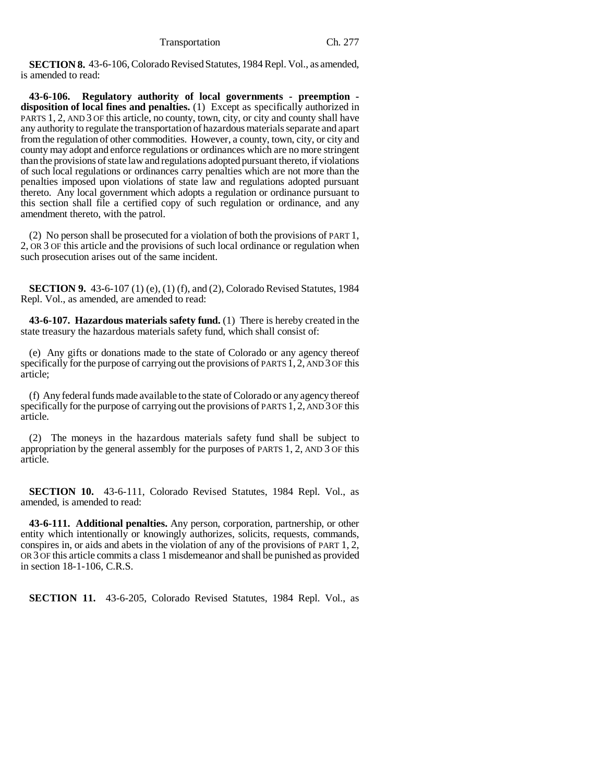**SECTION 8.** 43-6-106, Colorado Revised Statutes, 1984 Repl. Vol., as amended, is amended to read:

**43-6-106. Regulatory authority of local governments - preemption disposition of local fines and penalties.** (1) Except as specifically authorized in PARTS 1, 2, AND 3 OF this article, no county, town, city, or city and county shall have any authority to regulate the transportation of hazardous materials separate and apart from the regulation of other commodities. However, a county, town, city, or city and county may adopt and enforce regulations or ordinances which are no more stringent than the provisions of state law and regulations adopted pursuant thereto, if violations of such local regulations or ordinances carry penalties which are not more than the penalties imposed upon violations of state law and regulations adopted pursuant thereto. Any local government which adopts a regulation or ordinance pursuant to this section shall file a certified copy of such regulation or ordinance, and any amendment thereto, with the patrol.

(2) No person shall be prosecuted for a violation of both the provisions of PART 1, 2, OR 3 OF this article and the provisions of such local ordinance or regulation when such prosecution arises out of the same incident.

**SECTION 9.** 43-6-107 (1) (e), (1) (f), and (2), Colorado Revised Statutes, 1984 Repl. Vol., as amended, are amended to read:

**43-6-107. Hazardous materials safety fund.** (1) There is hereby created in the state treasury the hazardous materials safety fund, which shall consist of:

(e) Any gifts or donations made to the state of Colorado or any agency thereof specifically for the purpose of carrying out the provisions of PARTS 1, 2, AND 3 OF this article;

(f) Any federal funds made available to the state of Colorado or any agency thereof specifically for the purpose of carrying out the provisions of PARTS 1, 2, AND 3 OF this article.

(2) The moneys in the hazardous materials safety fund shall be subject to appropriation by the general assembly for the purposes of PARTS 1, 2, AND 3 OF this article.

**SECTION 10.** 43-6-111, Colorado Revised Statutes, 1984 Repl. Vol., as amended, is amended to read:

**43-6-111. Additional penalties.** Any person, corporation, partnership, or other entity which intentionally or knowingly authorizes, solicits, requests, commands, conspires in, or aids and abets in the violation of any of the provisions of PART 1, 2, OR 3 OF this article commits a class 1 misdemeanor and shall be punished as provided in section 18-1-106, C.R.S.

**SECTION 11.** 43-6-205, Colorado Revised Statutes, 1984 Repl. Vol., as